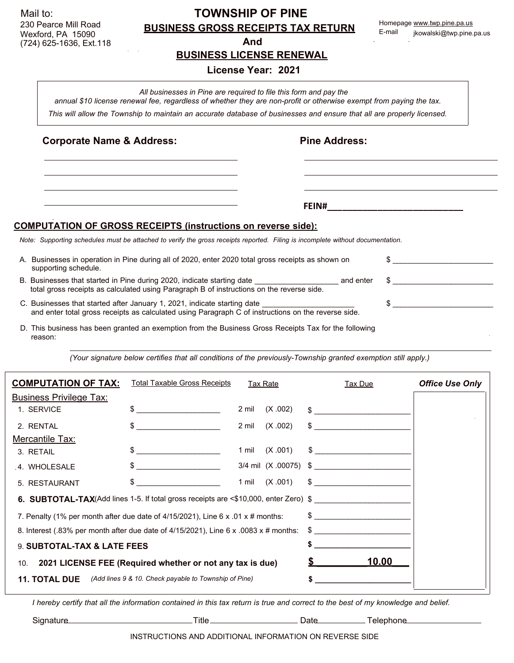|                                                                                                                        | 230 Pearce Mill Road                                                                                                                                                                     | <b>BUSINESS GROSS RECEIPTS TAX RETURN</b> |                      |        | Homepage www.twp.pine.pa.us |  |  |  |  |  |
|------------------------------------------------------------------------------------------------------------------------|------------------------------------------------------------------------------------------------------------------------------------------------------------------------------------------|-------------------------------------------|----------------------|--------|-----------------------------|--|--|--|--|--|
|                                                                                                                        | Wexford, PA 15090<br>(724) 625-1636, Ext.118                                                                                                                                             | And                                       |                      | E-mail | jkowalski@twp.pine.pa.us    |  |  |  |  |  |
| <b>BUSINESS LICENSE RENEWAL</b>                                                                                        |                                                                                                                                                                                          |                                           |                      |        |                             |  |  |  |  |  |
| License Year: 2021                                                                                                     |                                                                                                                                                                                          |                                           |                      |        |                             |  |  |  |  |  |
|                                                                                                                        | All businesses in Pine are required to file this form and pay the<br>annual \$10 license renewal fee, regardless of whether they are non-profit or otherwise exempt from paying the tax. |                                           |                      |        |                             |  |  |  |  |  |
| This will allow the Township to maintain an accurate database of businesses and ensure that all are properly licensed. |                                                                                                                                                                                          |                                           |                      |        |                             |  |  |  |  |  |
|                                                                                                                        | <b>Corporate Name &amp; Address:</b>                                                                                                                                                     |                                           | <b>Pine Address:</b> |        |                             |  |  |  |  |  |
|                                                                                                                        |                                                                                                                                                                                          |                                           |                      |        |                             |  |  |  |  |  |
|                                                                                                                        |                                                                                                                                                                                          |                                           |                      |        |                             |  |  |  |  |  |
|                                                                                                                        |                                                                                                                                                                                          |                                           |                      |        |                             |  |  |  |  |  |
|                                                                                                                        | <b>COMPUTATION OF GROSS RECEIPTS (instructions on reverse side):</b>                                                                                                                     |                                           |                      |        |                             |  |  |  |  |  |
|                                                                                                                        | Note: Supporting schedules must be attached to verify the gross receipts reported. Filing is incomplete without documentation.                                                           |                                           |                      |        |                             |  |  |  |  |  |
|                                                                                                                        | A. Businesses in operation in Pine during all of 2020, enter 2020 total gross receipts as shown on<br>supporting schedule.                                                               | \$                                        |                      |        |                             |  |  |  |  |  |
|                                                                                                                        | B. Businesses that started in Pine during 2020, indicate starting date<br>total gross receipts as calculated using Paragraph B of instructions on the reverse side.                      |                                           | and enter            | \$     |                             |  |  |  |  |  |
|                                                                                                                        | C. Businesses that started after January 1, 2021, indicate starting date<br>and enter total gross receipts as calculated using Paragraph C of instructions on the reverse side.          |                                           |                      |        |                             |  |  |  |  |  |
|                                                                                                                        | D. This business has been granted an exemption from the Business Gross Receipts Tax for the following<br>reason:                                                                         |                                           |                      |        |                             |  |  |  |  |  |

**TOWNSHIP OF PINE**

*(Your signature below certifies that all conditions of the previously-Township granted exemption still apply.)*

| <b>COMPUTATION OF TAX:</b>                                    | <b>Total Taxable Gross Receipts</b>                                                                                                                                                                                                                                                                                                                                                                                             | <b>Tax Rate</b>  |               | <b>Tax Due</b>                                                                                                                                                                                                                                                                                                                                                                                                                  | <b>Office Use Only</b> |  |
|---------------------------------------------------------------|---------------------------------------------------------------------------------------------------------------------------------------------------------------------------------------------------------------------------------------------------------------------------------------------------------------------------------------------------------------------------------------------------------------------------------|------------------|---------------|---------------------------------------------------------------------------------------------------------------------------------------------------------------------------------------------------------------------------------------------------------------------------------------------------------------------------------------------------------------------------------------------------------------------------------|------------------------|--|
| <b>Business Privilege Tax:</b>                                |                                                                                                                                                                                                                                                                                                                                                                                                                                 |                  |               |                                                                                                                                                                                                                                                                                                                                                                                                                                 |                        |  |
| 1. SERVICE                                                    |                                                                                                                                                                                                                                                                                                                                                                                                                                 | 2 mil<br>(X.002) | \$            |                                                                                                                                                                                                                                                                                                                                                                                                                                 |                        |  |
| 2. RENTAL                                                     |                                                                                                                                                                                                                                                                                                                                                                                                                                 | (X.002)<br>2 mil |               | $\frac{1}{\sqrt{1-\frac{1}{2}}}\frac{1}{\sqrt{1-\frac{1}{2}}}\frac{1}{\sqrt{1-\frac{1}{2}}}\frac{1}{\sqrt{1-\frac{1}{2}}}\frac{1}{\sqrt{1-\frac{1}{2}}}\frac{1}{\sqrt{1-\frac{1}{2}}}\frac{1}{\sqrt{1-\frac{1}{2}}}\frac{1}{\sqrt{1-\frac{1}{2}}}\frac{1}{\sqrt{1-\frac{1}{2}}}\frac{1}{\sqrt{1-\frac{1}{2}}}\frac{1}{\sqrt{1-\frac{1}{2}}}\frac{1}{\sqrt{1-\frac{1}{2}}}\frac{1}{\sqrt{1-\frac{1}{2}}}\frac{1}{\sqrt{1-\frac{$ |                        |  |
| <b>Mercantile Tax:</b>                                        |                                                                                                                                                                                                                                                                                                                                                                                                                                 |                  |               |                                                                                                                                                                                                                                                                                                                                                                                                                                 |                        |  |
| 3. RETAIL                                                     | $\frac{1}{2}$ $\frac{1}{2}$ $\frac{1}{2}$ $\frac{1}{2}$ $\frac{1}{2}$ $\frac{1}{2}$ $\frac{1}{2}$ $\frac{1}{2}$ $\frac{1}{2}$ $\frac{1}{2}$ $\frac{1}{2}$ $\frac{1}{2}$ $\frac{1}{2}$ $\frac{1}{2}$ $\frac{1}{2}$ $\frac{1}{2}$ $\frac{1}{2}$ $\frac{1}{2}$ $\frac{1}{2}$ $\frac{1}{2}$ $\frac{1}{2}$ $\frac{1}{2}$                                                                                                             | (X.001)<br>1 mil |               | $\frac{1}{2}$                                                                                                                                                                                                                                                                                                                                                                                                                   |                        |  |
| 4. WHOLESALE                                                  | $\frac{1}{\sqrt{1-\frac{1}{2}}}\frac{1}{\sqrt{1-\frac{1}{2}}}\frac{1}{\sqrt{1-\frac{1}{2}}}\frac{1}{\sqrt{1-\frac{1}{2}}}\frac{1}{\sqrt{1-\frac{1}{2}}}\frac{1}{\sqrt{1-\frac{1}{2}}}\frac{1}{\sqrt{1-\frac{1}{2}}}\frac{1}{\sqrt{1-\frac{1}{2}}}\frac{1}{\sqrt{1-\frac{1}{2}}}\frac{1}{\sqrt{1-\frac{1}{2}}}\frac{1}{\sqrt{1-\frac{1}{2}}}\frac{1}{\sqrt{1-\frac{1}{2}}}\frac{1}{\sqrt{1-\frac{1}{2}}}\frac{1}{\sqrt{1-\frac{$ |                  |               | 3/4 mil (X .00075) \$                                                                                                                                                                                                                                                                                                                                                                                                           |                        |  |
| 5. RESTAURANT                                                 | \$                                                                                                                                                                                                                                                                                                                                                                                                                              | (X.001)<br>1 mil |               |                                                                                                                                                                                                                                                                                                                                                                                                                                 |                        |  |
|                                                               | <b>6. SUBTOTAL-TAX</b> (Add lines 1-5. If total gross receipts are $\leq$ \$10,000, enter Zero) $\$                                                                                                                                                                                                                                                                                                                             |                  |               |                                                                                                                                                                                                                                                                                                                                                                                                                                 |                        |  |
|                                                               | 7. Penalty (1% per month after due date of 4/15/2021), Line 6 x .01 x # months:                                                                                                                                                                                                                                                                                                                                                 |                  | $\frac{1}{2}$ |                                                                                                                                                                                                                                                                                                                                                                                                                                 |                        |  |
|                                                               | 8. Interest (.83% per month after due date of $4/15/2021$ ), Line 6 x .0083 x # months:                                                                                                                                                                                                                                                                                                                                         |                  |               |                                                                                                                                                                                                                                                                                                                                                                                                                                 |                        |  |
| 9. SUBTOTAL-TAX & LATE FEES                                   |                                                                                                                                                                                                                                                                                                                                                                                                                                 |                  |               |                                                                                                                                                                                                                                                                                                                                                                                                                                 |                        |  |
| 10. 2021 LICENSE FEE (Required whether or not any tax is due) |                                                                                                                                                                                                                                                                                                                                                                                                                                 |                  |               | 10.00                                                                                                                                                                                                                                                                                                                                                                                                                           |                        |  |
| <b>11. TOTAL DUE</b>                                          | (Add lines 9 & 10. Check payable to Township of Pine)                                                                                                                                                                                                                                                                                                                                                                           |                  |               |                                                                                                                                                                                                                                                                                                                                                                                                                                 |                        |  |
|                                                               |                                                                                                                                                                                                                                                                                                                                                                                                                                 |                  |               |                                                                                                                                                                                                                                                                                                                                                                                                                                 |                        |  |

*I hereby certify that all the information contained in this tax return is true and correct to the best of my knowledge and belief.*

Signature **Title** Title Date Date Telephone Telephone

Mail to:

INSTRUCTIONS AND ADDITIONAL INFORMATION ON REVERSE SIDE